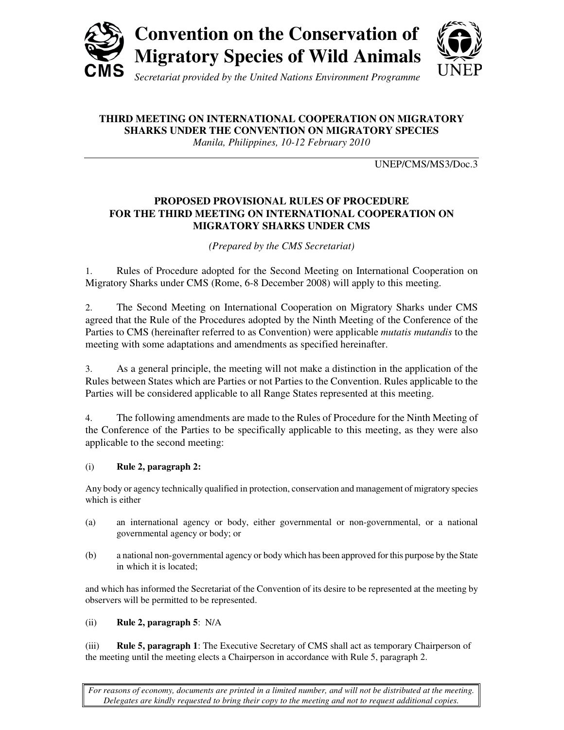



**THIRD MEETING ON INTERNATIONAL COOPERATION ON MIGRATORY** 

**SHARKS UNDER THE CONVENTION ON MIGRATORY SPECIES** 

*Manila, Philippines, 10-12 February 2010*

UNEP/CMS/MS3/Doc.3

# **PROPOSED PROVISIONAL RULES OF PROCEDURE FOR THE THIRD MEETING ON INTERNATIONAL COOPERATION ON MIGRATORY SHARKS UNDER CMS**

*(Prepared by the CMS Secretariat)*

1. Rules of Procedure adopted for the Second Meeting on International Cooperation on Migratory Sharks under CMS (Rome, 6-8 December 2008) will apply to this meeting.

2. The Second Meeting on International Cooperation on Migratory Sharks under CMS agreed that the Rule of the Procedures adopted by the Ninth Meeting of the Conference of the Parties to CMS (hereinafter referred to as Convention) were applicable *mutatis mutandis* to the meeting with some adaptations and amendments as specified hereinafter.

3. As a general principle, the meeting will not make a distinction in the application of the Rules between States which are Parties or not Parties to the Convention. Rules applicable to the Parties will be considered applicable to all Range States represented at this meeting.

4. The following amendments are made to the Rules of Procedure for the Ninth Meeting of the Conference of the Parties to be specifically applicable to this meeting, as they were also applicable to the second meeting:

# (i) **Rule 2, paragraph 2:**

Any body or agency technically qualified in protection, conservation and management of migratory species which is either

- (a) an international agency or body, either governmental or non-governmental, or a national governmental agency or body; or
- (b) a national non-governmental agency or body which has been approved for this purpose by the State in which it is located;

and which has informed the Secretariat of the Convention of its desire to be represented at the meeting by observers will be permitted to be represented.

# (ii) **Rule 2, paragraph 5**: N/A

(iii) **Rule 5, paragraph 1**: The Executive Secretary of CMS shall act as temporary Chairperson of the meeting until the meeting elects a Chairperson in accordance with Rule 5, paragraph 2.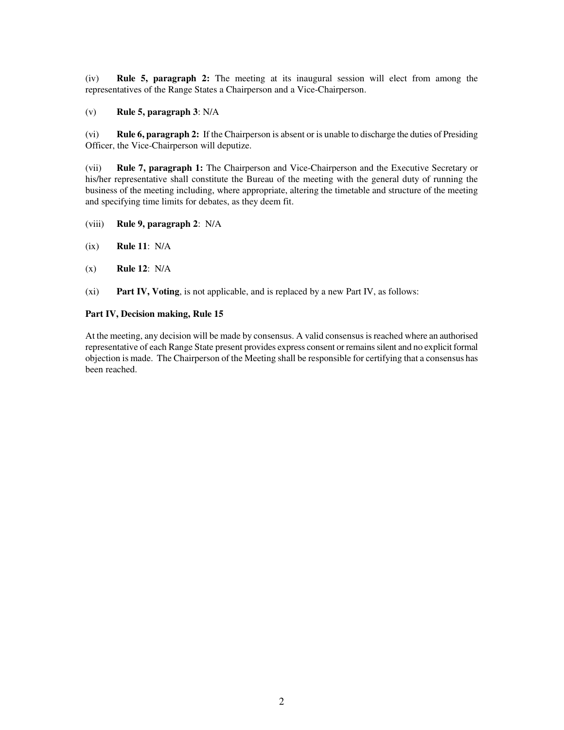(iv) **Rule 5, paragraph 2:** The meeting at its inaugural session will elect from among the representatives of the Range States a Chairperson and a Vice-Chairperson.

(v) **Rule 5, paragraph 3**: N/A

(vi) **Rule 6, paragraph 2:** If the Chairperson is absent or is unable to discharge the duties of Presiding Officer, the Vice-Chairperson will deputize.

(vii) **Rule 7, paragraph 1:** The Chairperson and Vice-Chairperson and the Executive Secretary or his/her representative shall constitute the Bureau of the meeting with the general duty of running the business of the meeting including, where appropriate, altering the timetable and structure of the meeting and specifying time limits for debates, as they deem fit.

- (viii) **Rule 9, paragraph 2**: N/A
- (ix) **Rule 11**: N/A
- (x) **Rule 12**: N/A
- (xi) **Part IV, Voting**, is not applicable, and is replaced by a new Part IV, as follows:

#### **Part IV, Decision making, Rule 15**

At the meeting, any decision will be made by consensus. A valid consensus is reached where an authorised representative of each Range State present provides express consent or remains silent and no explicit formal objection is made. The Chairperson of the Meeting shall be responsible for certifying that a consensus has been reached.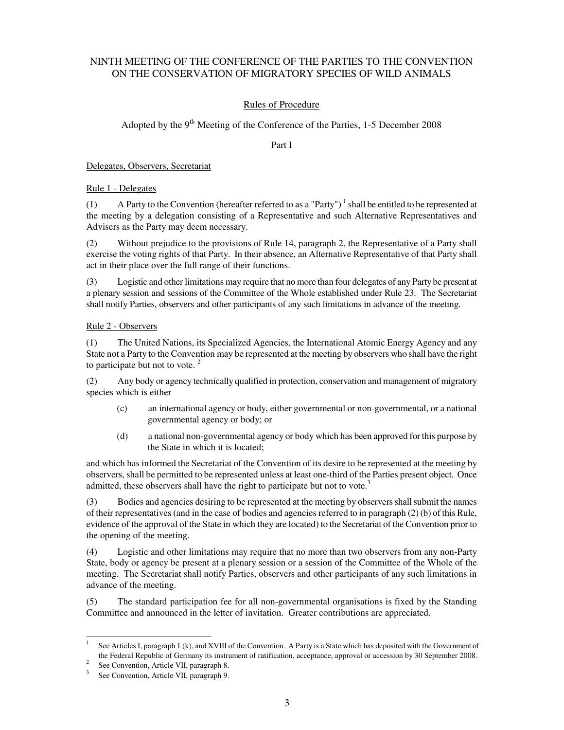# NINTH MEETING OF THE CONFERENCE OF THE PARTIES TO THE CONVENTION ON THE CONSERVATION OF MIGRATORY SPECIES OF WILD ANIMALS

# Rules of Procedure

# Adopted by the  $9<sup>th</sup>$  Meeting of the Conference of the Parties, 1-5 December 2008

Part I

Delegates, Observers, Secretariat

Rule 1 - Delegates

(1) A Party to the Convention (hereafter referred to as a "Party")<sup>1</sup> shall be entitled to be represented at the meeting by a delegation consisting of a Representative and such Alternative Representatives and Advisers as the Party may deem necessary.

(2) Without prejudice to the provisions of Rule 14, paragraph 2, the Representative of a Party shall exercise the voting rights of that Party. In their absence, an Alternative Representative of that Party shall act in their place over the full range of their functions.

(3) Logistic and other limitations may require that no more than four delegates of any Party be present at a plenary session and sessions of the Committee of the Whole established under Rule 23.The Secretariat shall notify Parties, observers and other participants of any such limitations in advance of the meeting.

## Rule 2 - Observers

(1) The United Nations, its Specialized Agencies, the International Atomic Energy Agency and any State not a Party to the Convention may be represented at the meeting by observers who shall have the right to participate but not to vote.<sup>2</sup>

(2) Any body or agency technically qualified in protection, conservation and management of migratory species which is either

- (c) an international agency or body, either governmental or non-governmental, or a national governmental agency or body; or
- (d) a national non-governmental agency or body which has been approved for this purpose by the State in which it is located;

and which has informed the Secretariat of the Convention of its desire to be represented at the meeting by observers, shall be permitted to be represented unless at least one-third of the Parties present object. Once admitted, these observers shall have the right to participate but not to vote.<sup>3</sup>

(3) Bodies and agencies desiring to be represented at the meeting by observers shall submit the names of their representatives (and in the case of bodies and agencies referred to in paragraph (2) (b) of this Rule, evidence of the approval of the State in which they are located) to the Secretariat of the Convention prior to the opening of the meeting.

(4) Logistic and other limitations may require that no more than two observers from any non-Party State, body or agency be present at a plenary session or a session of the Committee of the Whole of the meeting. The Secretariat shall notify Parties, observers and other participants of any such limitations in advance of the meeting.

(5) The standard participation fee for all non-governmental organisations is fixed by the Standing Committee and announced in the letter of invitation. Greater contributions are appreciated.

 $\frac{1}{1}$  See Articles I, paragraph 1 (k), and XVIII of the Convention. A Party is a State which has deposited with the Government of the Federal Republic of Germany its instrument of ratification, acceptance, approval or accession by 30 September 2008.

<sup>&</sup>lt;sup>2</sup> See Convention, Article VII, paragraph 8.

<sup>3</sup> See Convention, Article VII, paragraph 9.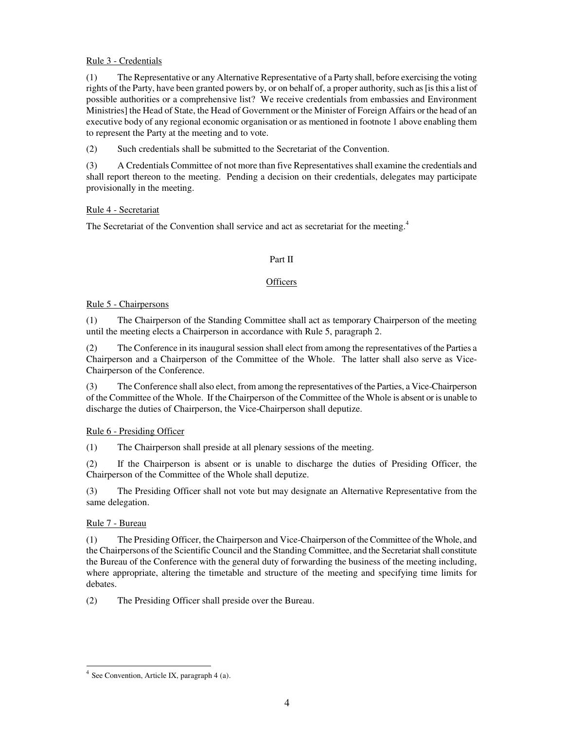## Rule 3 - Credentials

(1) The Representative or any Alternative Representative of a Party shall, before exercising the voting rights of the Party, have been granted powers by, or on behalf of, a proper authority, such as [is this a list of possible authorities or a comprehensive list? We receive credentials from embassies and Environment Ministries] the Head of State, the Head of Government or the Minister of Foreign Affairs or the head of an executive body of any regional economic organisation or as mentioned in footnote 1 above enabling them to represent the Party at the meeting and to vote.

(2) Such credentials shall be submitted to the Secretariat of the Convention.

(3) A Credentials Committee of not more than five Representatives shall examine the credentials and shall report thereon to the meeting. Pending a decision on their credentials, delegates may participate provisionally in the meeting.

## Rule 4 - Secretariat

The Secretariat of the Convention shall service and act as secretariat for the meeting.<sup>4</sup>

## Part II

## **Officers**

## Rule 5 - Chairpersons

(1) The Chairperson of the Standing Committee shall act as temporary Chairperson of the meeting until the meeting elects a Chairperson in accordance with Rule 5, paragraph 2.

(2) The Conference in its inaugural session shall elect from among the representatives of the Parties a Chairperson and a Chairperson of the Committee of the Whole. The latter shall also serve as Vice-Chairperson of the Conference.

(3) The Conference shall also elect, from among the representatives of the Parties, a Vice-Chairperson of the Committee of the Whole. If the Chairperson of the Committee of the Whole is absent or is unable to discharge the duties of Chairperson, the Vice-Chairperson shall deputize.

# Rule 6 - Presiding Officer

(1) The Chairperson shall preside at all plenary sessions of the meeting.

(2) If the Chairperson is absent or is unable to discharge the duties of Presiding Officer, the Chairperson of the Committee of the Whole shall deputize.

(3) The Presiding Officer shall not vote but may designate an Alternative Representative from the same delegation.

# Rule 7 - Bureau

(1) The Presiding Officer, the Chairperson and Vice-Chairperson of the Committee of the Whole, and the Chairpersons of the Scientific Council and the Standing Committee, and the Secretariat shall constitute the Bureau of the Conference with the general duty of forwarding the business of the meeting including, where appropriate, altering the timetable and structure of the meeting and specifying time limits for debates.

(2) The Presiding Officer shall preside over the Bureau.

 4 See Convention, Article IX, paragraph 4 (a).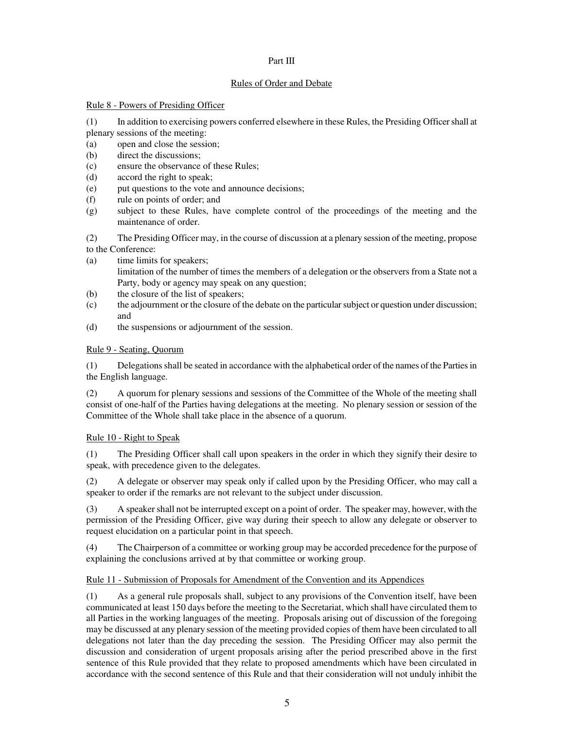#### Part III

## Rules of Order and Debate

## Rule 8 - Powers of Presiding Officer

(1) In addition to exercising powers conferred elsewhere in these Rules, the Presiding Officer shall at

- plenary sessions of the meeting:
- (a) open and close the session;
- (b) direct the discussions;
- (c) ensure the observance of these Rules;
- (d) accord the right to speak;
- (e) put questions to the vote and announce decisions;
- (f) rule on points of order; and
- (g) subject to these Rules, have complete control of the proceedings of the meeting and the maintenance of order.

(2) The Presiding Officer may, in the course of discussion at a plenary session of the meeting, propose to the Conference:

- (a) time limits for speakers; limitation of the number of times the members of a delegation or the observers from a State not a Party, body or agency may speak on any question;
- (b) the closure of the list of speakers;
- (c) the adjournment or the closure of the debate on the particular subject or question under discussion; and
- (d) the suspensions or adjournment of the session.

# Rule 9 - Seating, Quorum

(1) Delegations shall be seated in accordance with the alphabetical order of the names of the Parties in the English language.

(2) A quorum for plenary sessions and sessions of the Committee of the Whole of the meeting shall consist of one-half of the Parties having delegations at the meeting. No plenary session or session of the Committee of the Whole shall take place in the absence of a quorum.

# Rule 10 - Right to Speak

(1) The Presiding Officer shall call upon speakers in the order in which they signify their desire to speak, with precedence given to the delegates.

(2) A delegate or observer may speak only if called upon by the Presiding Officer, who may call a speaker to order if the remarks are not relevant to the subject under discussion.

(3) A speaker shall not be interrupted except on a point of order. The speaker may, however, with the permission of the Presiding Officer, give way during their speech to allow any delegate or observer to request elucidation on a particular point in that speech.

(4) The Chairperson of a committee or working group may be accorded precedence for the purpose of explaining the conclusions arrived at by that committee or working group.

# Rule 11 - Submission of Proposals for Amendment of the Convention and its Appendices

(1) As a general rule proposals shall, subject to any provisions of the Convention itself, have been communicated at least 150 days before the meeting to the Secretariat, which shall have circulated them to all Parties in the working languages of the meeting. Proposals arising out of discussion of the foregoing may be discussed at any plenary session of the meeting provided copies of them have been circulated to all delegations not later than the day preceding the session. The Presiding Officer may also permit the discussion and consideration of urgent proposals arising after the period prescribed above in the first sentence of this Rule provided that they relate to proposed amendments which have been circulated in accordance with the second sentence of this Rule and that their consideration will not unduly inhibit the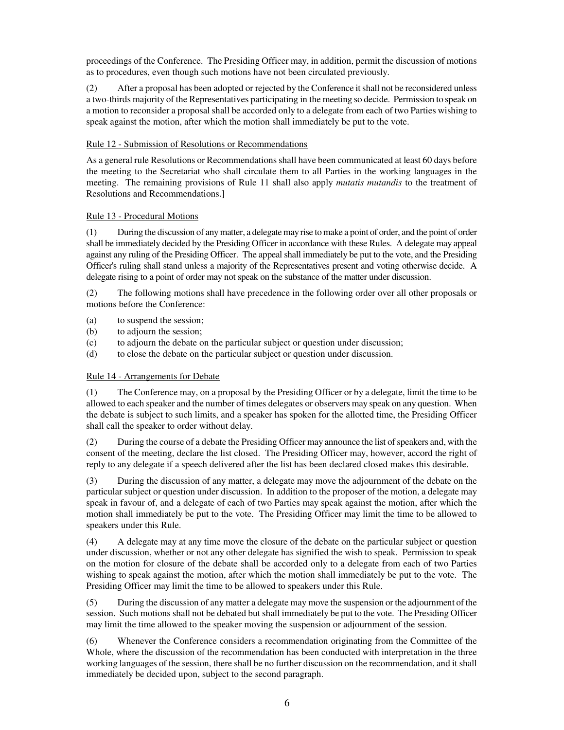proceedings of the Conference. The Presiding Officer may, in addition, permit the discussion of motions as to procedures, even though such motions have not been circulated previously.

(2) After a proposal has been adopted or rejected by the Conference it shall not be reconsidered unless a two-thirds majority of the Representatives participating in the meeting so decide. Permission to speak on a motion to reconsider a proposal shall be accorded only to a delegate from each of two Parties wishing to speak against the motion, after which the motion shall immediately be put to the vote.

## Rule 12 - Submission of Resolutions or Recommendations

As a general rule Resolutions or Recommendations shall have been communicated at least 60 days before the meeting to the Secretariat who shall circulate them to all Parties in the working languages in the meeting. The remaining provisions of Rule 11 shall also apply *mutatis mutandis* to the treatment of Resolutions and Recommendations.]

## Rule 13 - Procedural Motions

(1) During the discussion of any matter, a delegate may rise to make a point of order, and the point of order shall be immediately decided by the Presiding Officer in accordance with these Rules. A delegate may appeal against any ruling of the Presiding Officer. The appeal shall immediately be put to the vote, and the Presiding Officer's ruling shall stand unless a majority of the Representatives present and voting otherwise decide. A delegate rising to a point of order may not speak on the substance of the matter under discussion.

(2) The following motions shall have precedence in the following order over all other proposals or motions before the Conference:

- (a) to suspend the session;
- (b) to adjourn the session;
- (c) to adjourn the debate on the particular subject or question under discussion;
- (d) to close the debate on the particular subject or question under discussion.

#### Rule 14 - Arrangements for Debate

(1) The Conference may, on a proposal by the Presiding Officer or by a delegate, limit the time to be allowed to each speaker and the number of times delegates or observers may speak on any question. When the debate is subject to such limits, and a speaker has spoken for the allotted time, the Presiding Officer shall call the speaker to order without delay.

(2) During the course of a debate the Presiding Officer may announce the list of speakers and, with the consent of the meeting, declare the list closed. The Presiding Officer may, however, accord the right of reply to any delegate if a speech delivered after the list has been declared closed makes this desirable.

(3) During the discussion of any matter, a delegate may move the adjournment of the debate on the particular subject or question under discussion. In addition to the proposer of the motion, a delegate may speak in favour of, and a delegate of each of two Parties may speak against the motion, after which the motion shall immediately be put to the vote. The Presiding Officer may limit the time to be allowed to speakers under this Rule.

(4) A delegate may at any time move the closure of the debate on the particular subject or question under discussion, whether or not any other delegate has signified the wish to speak. Permission to speak on the motion for closure of the debate shall be accorded only to a delegate from each of two Parties wishing to speak against the motion, after which the motion shall immediately be put to the vote. The Presiding Officer may limit the time to be allowed to speakers under this Rule.

(5) During the discussion of any matter a delegate may move the suspension or the adjournment of the session. Such motions shall not be debated but shall immediately be put to the vote. The Presiding Officer may limit the time allowed to the speaker moving the suspension or adjournment of the session.

(6) Whenever the Conference considers a recommendation originating from the Committee of the Whole, where the discussion of the recommendation has been conducted with interpretation in the three working languages of the session, there shall be no further discussion on the recommendation, and it shall immediately be decided upon, subject to the second paragraph.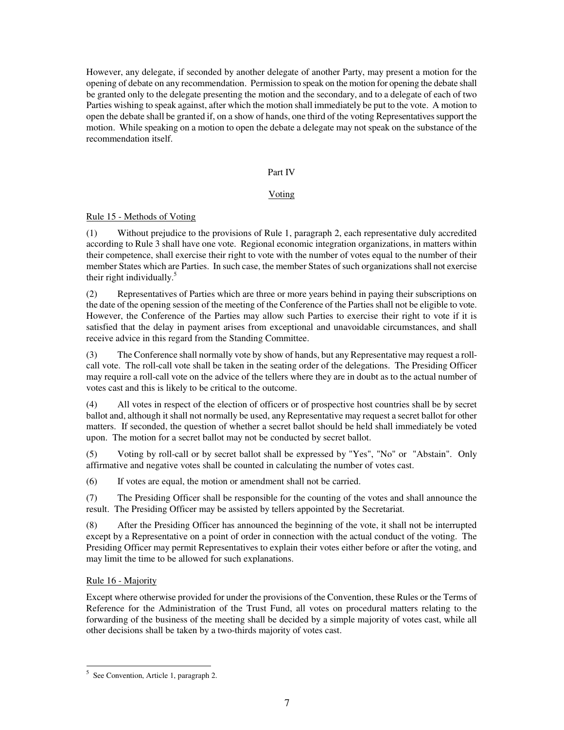However, any delegate, if seconded by another delegate of another Party, may present a motion for the opening of debate on any recommendation. Permission to speak on the motion for opening the debate shall be granted only to the delegate presenting the motion and the secondary, and to a delegate of each of two Parties wishing to speak against, after which the motion shall immediately be put to the vote. A motion to open the debate shall be granted if, on a show of hands, one third of the voting Representatives support the motion. While speaking on a motion to open the debate a delegate may not speak on the substance of the recommendation itself.

## Part IV

## Voting

Rule 15 - Methods of Voting

(1) Without prejudice to the provisions of Rule 1, paragraph 2, each representative duly accredited according to Rule 3 shall have one vote. Regional economic integration organizations, in matters within their competence, shall exercise their right to vote with the number of votes equal to the number of their member States which are Parties. In such case, the member States of such organizations shall not exercise their right individually.<sup>5</sup>

(2) Representatives of Parties which are three or more years behind in paying their subscriptions on the date of the opening session of the meeting of the Conference of the Parties shall not be eligible to vote. However, the Conference of the Parties may allow such Parties to exercise their right to vote if it is satisfied that the delay in payment arises from exceptional and unavoidable circumstances, and shall receive advice in this regard from the Standing Committee.

(3) The Conference shall normally vote by show of hands, but any Representative may request a rollcall vote. The roll-call vote shall be taken in the seating order of the delegations. The Presiding Officer may require a roll-call vote on the advice of the tellers where they are in doubt as to the actual number of votes cast and this is likely to be critical to the outcome.

(4) All votes in respect of the election of officers or of prospective host countries shall be by secret ballot and, although it shall not normally be used, any Representative may request a secret ballot for other matters. If seconded, the question of whether a secret ballot should be held shall immediately be voted upon. The motion for a secret ballot may not be conducted by secret ballot.

(5) Voting by roll-call or by secret ballot shall be expressed by "Yes", "No" or "Abstain". Only affirmative and negative votes shall be counted in calculating the number of votes cast.

(6) If votes are equal, the motion or amendment shall not be carried.

(7) The Presiding Officer shall be responsible for the counting of the votes and shall announce the result. The Presiding Officer may be assisted by tellers appointed by the Secretariat.

(8) After the Presiding Officer has announced the beginning of the vote, it shall not be interrupted except by a Representative on a point of order in connection with the actual conduct of the voting. The Presiding Officer may permit Representatives to explain their votes either before or after the voting, and may limit the time to be allowed for such explanations.

# Rule 16 - Majority

Except where otherwise provided for under the provisions of the Convention, these Rules or the Terms of Reference for the Administration of the Trust Fund, all votes on procedural matters relating to the forwarding of the business of the meeting shall be decided by a simple majority of votes cast, while all other decisions shall be taken by a two-thirds majority of votes cast.

 5 See Convention, Article 1, paragraph 2.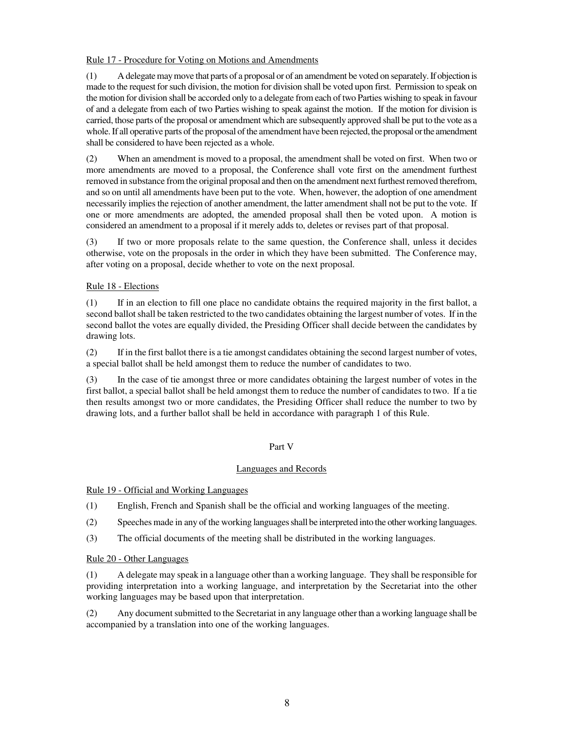## Rule 17 - Procedure for Voting on Motions and Amendments

(1) A delegate may move that parts of a proposal or of an amendment be voted on separately. If objection is made to the request for such division, the motion for division shall be voted upon first. Permission to speak on the motion for division shall be accorded only to a delegate from each of two Parties wishing to speak in favour of and a delegate from each of two Parties wishing to speak against the motion. If the motion for division is carried, those parts of the proposal or amendment which are subsequently approved shall be put to the vote as a whole. If all operative parts of the proposal of the amendment have been rejected, the proposal or the amendment shall be considered to have been rejected as a whole.

(2) When an amendment is moved to a proposal, the amendment shall be voted on first. When two or more amendments are moved to a proposal, the Conference shall vote first on the amendment furthest removed in substance from the original proposal and then on the amendment next furthest removed therefrom, and so on until all amendments have been put to the vote. When, however, the adoption of one amendment necessarily implies the rejection of another amendment, the latter amendment shall not be put to the vote. If one or more amendments are adopted, the amended proposal shall then be voted upon. A motion is considered an amendment to a proposal if it merely adds to, deletes or revises part of that proposal.

(3) If two or more proposals relate to the same question, the Conference shall, unless it decides otherwise, vote on the proposals in the order in which they have been submitted. The Conference may, after voting on a proposal, decide whether to vote on the next proposal.

## Rule 18 - Elections

(1) If in an election to fill one place no candidate obtains the required majority in the first ballot, a second ballot shall be taken restricted to the two candidates obtaining the largest number of votes. If in the second ballot the votes are equally divided, the Presiding Officer shall decide between the candidates by drawing lots.

(2) If in the first ballot there is a tie amongst candidates obtaining the second largest number of votes, a special ballot shall be held amongst them to reduce the number of candidates to two.

(3) In the case of tie amongst three or more candidates obtaining the largest number of votes in the first ballot, a special ballot shall be held amongst them to reduce the number of candidates to two. If a tie then results amongst two or more candidates, the Presiding Officer shall reduce the number to two by drawing lots, and a further ballot shall be held in accordance with paragraph 1 of this Rule.

#### Part V

#### Languages and Records

Rule 19 - Official and Working Languages

- (1) English, French and Spanish shall be the official and working languages of the meeting.
- (2) Speeches made in any of the working languages shall be interpreted into the other working languages.
- (3) The official documents of the meeting shall be distributed in the working languages.

#### Rule 20 - Other Languages

(1) A delegate may speak in a language other than a working language. They shall be responsible for providing interpretation into a working language, and interpretation by the Secretariat into the other working languages may be based upon that interpretation.

(2) Any document submitted to the Secretariat in any language other than a working language shall be accompanied by a translation into one of the working languages.